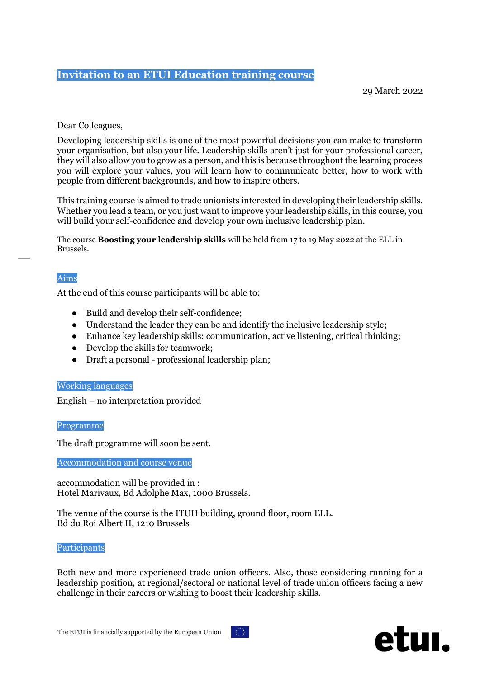# **Invitation to an ETUI Education training course**

29 March 2022

# Dear Colleagues,

Developing leadership skills is one of the most powerful decisions you can make to transform your organisation, but also your life. Leadership skills aren't just for your professional career, they will also allow you to grow as a person, and this is because throughout the learning process you will explore your values, you will learn how to communicate better, how to work with people from different backgrounds, and how to inspire others.

This training course is aimed to trade unionists interested in developing their leadership skills. Whether you lead a team, or you just want to improve your leadership skills, in this course, you will build your self-confidence and develop your own inclusive leadership plan.

The course **Boosting your leadership skills** will be held from 17 to 19 May 2022 at the ELL in Brussels.

# Aims

At the end of this course participants will be able to:

- Build and develop their self-confidence;
- Understand the leader they can be and identify the inclusive leadership style;
- Enhance key leadership skills: communication, active listening, critical thinking;
- Develop the skills for teamwork;
- Draft a personal professional leadership plan;

## Working languages

English – no interpretation provided

Programme

The draft programme will soon be sent.

Accommodation and course venue

accommodation will be provided in : Hotel Marivaux, Bd Adolphe Max, 1000 Brussels.

The venue of the course is the ITUH building, ground floor, room ELL. Bd du Roi Albert II, 1210 Brussels

## Participants

Both new and more experienced trade union officers. Also, those considering running for a leadership position, at regional/sectoral or national level of trade union officers facing a new challenge in their careers or wishing to boost their leadership skills.



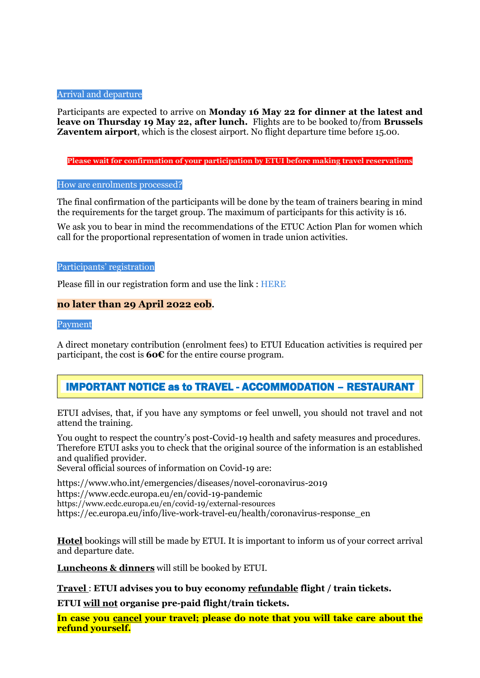# Arrival and departure

Participants are expected to arrive on **Monday 16 May 22 for dinner at the latest and leave on Thursday 19 May 22, after lunch.** Flights are to be booked to/from **Brussels Zaventem airport**, which is the closest airport. No flight departure time before 15.00.

**Please wait for confirmation of your participation by ETUI before making travel reservations**

#### How are enrolments processed?

The final confirmation of the participants will be done by the team of trainers bearing in mind the requirements for the target group. The maximum of participants for this activity is 16.

We ask you to bear in mind the recommendations of the ETUC Action Plan for women which call for the proportional representation of women in trade union activities.

#### Participants' registration

Please fill in our registration form and use the link : [HERE](https://docs.google.com/forms/d/e/1FAIpQLSfsJ5VkseJLoLb4f-klTS5-LQnW4zIJNl6GGe01y3GUj79bOg/viewform)

# **no later than 29 April 2022 eob.**

Payment

A direct monetary contribution (enrolment fees) to ETUI Education activities is required per participant, the cost is **60€** for the entire course program.

# IMPORTANT NOTICE as to TRAVEL - ACCOMMODATION – RESTAURANT

ETUI advises, that, if you have any symptoms or feel unwell, you should not travel and not attend the training.

You ought to respect the country's post-Covid-19 health and safety measures and procedures. Therefore ETUI asks you to check that the original source of the information is an established and qualified provider.

Several official sources of information on Covid-19 are:

<https://www.who.int/emergencies/diseases/novel-coronavirus-2019> <https://www.ecdc.europa.eu/en/covid-19-pandemic> https://www.ecdc.europa.eu/en/covid-19/external-resources [https://ec.europa.eu/info/live-work-travel-eu/health/coronavirus-response\\_en](https://ec.europa.eu/info/live-work-travel-eu/health/coronavirus-response_en)

**Hotel** bookings will still be made by ETUI. It is important to inform us of your correct arrival and departure date.

**Luncheons & dinners** will still be booked by ETUI.

**Travel** : **ETUI advises you to buy economy refundable flight / train tickets.**

**ETUI will not organise pre-paid flight/train tickets.**

**In case you cancel your travel; please do note that you will take care about the refund yourself.**